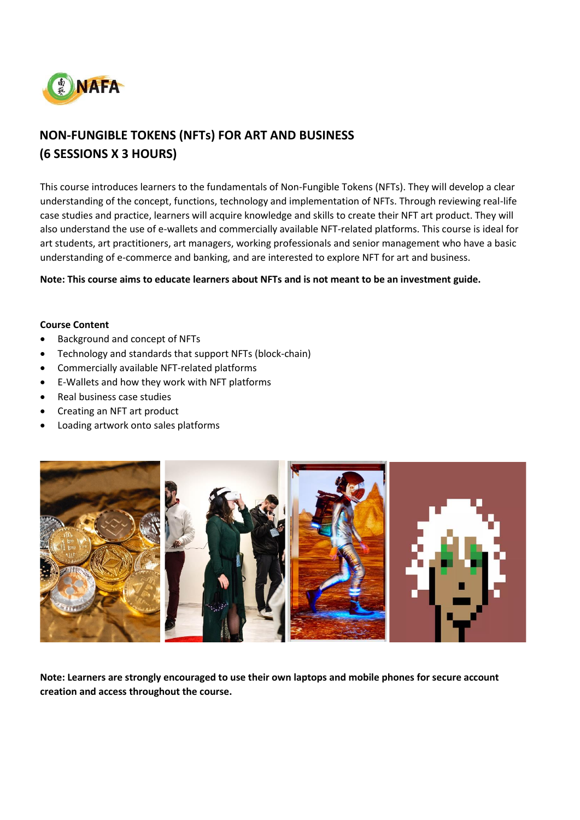

# **NON-FUNGIBLE TOKENS (NFTs) FOR ART AND BUSINESS (6 SESSIONS X 3 HOURS)**

This course introduces learners to the fundamentals of Non-Fungible Tokens (NFTs). They will develop a clear understanding of the concept, functions, technology and implementation of NFTs. Through reviewing real-life case studies and practice, learners will acquire knowledge and skills to create their NFT art product. They will also understand the use of e-wallets and commercially available NFT-related platforms. This course is ideal for art students, art practitioners, art managers, working professionals and senior management who have a basic understanding of e-commerce and banking, and are interested to explore NFT for art and business.

**Note: This course aims to educate learners about NFTs and is not meant to be an investment guide.**

#### **Course Content**

- Background and concept of NFTs
- Technology and standards that support NFTs (block-chain)
- Commercially available NFT-related platforms
- E-Wallets and how they work with NFT platforms
- Real business case studies
- Creating an NFT art product
- Loading artwork onto sales platforms



**Note: Learners are strongly encouraged to use their own laptops and mobile phones for secure account creation and access throughout the course.**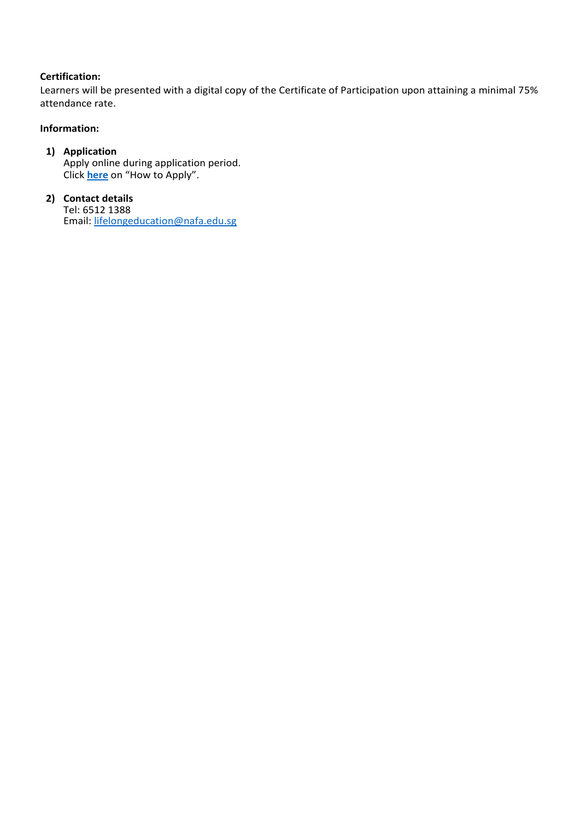## **Certification:**

Learners will be presented with a digital copy of the Certificate of Participation upon attaining a minimal 75% attendance rate.

## **Information:**

### **1) Application** Apply online during application period. Click **[here](https://www.nafa.edu.sg/courses/part-time/short-courses#collapseFive)** on "How to Apply".

### **2) Contact details** Tel: 6512 1388 Email: [lifelongeducation@nafa.edu.sg](mailto:lifelongeducation@nafa.edu.sg)